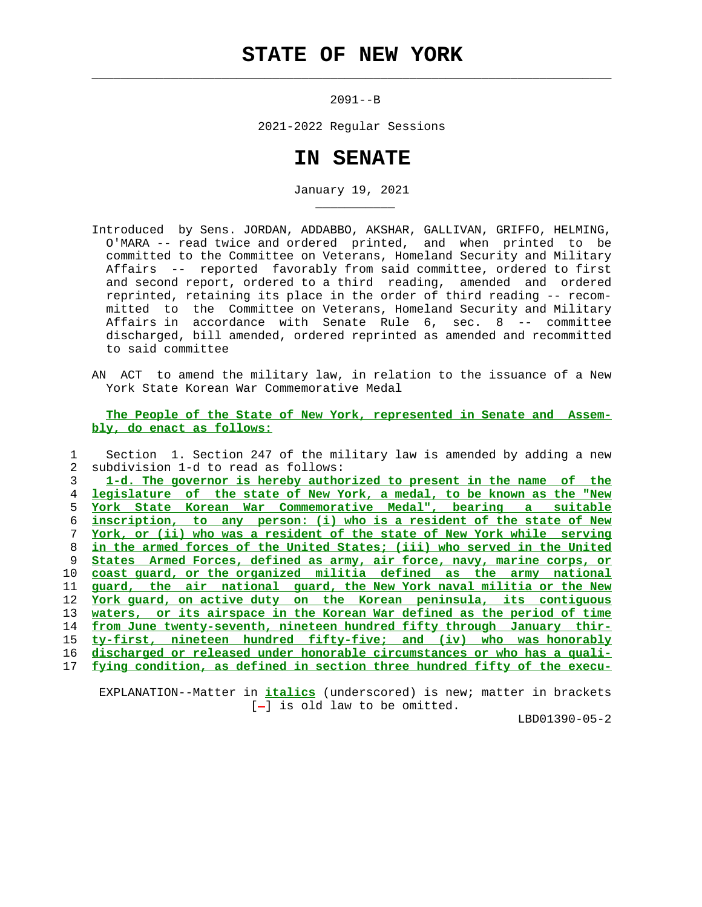## **STATE OF NEW YORK**

 $\mathcal{L}_\text{max} = \frac{1}{2} \sum_{i=1}^{n} \frac{1}{2} \sum_{i=1}^{n} \frac{1}{2} \sum_{i=1}^{n} \frac{1}{2} \sum_{i=1}^{n} \frac{1}{2} \sum_{i=1}^{n} \frac{1}{2} \sum_{i=1}^{n} \frac{1}{2} \sum_{i=1}^{n} \frac{1}{2} \sum_{i=1}^{n} \frac{1}{2} \sum_{i=1}^{n} \frac{1}{2} \sum_{i=1}^{n} \frac{1}{2} \sum_{i=1}^{n} \frac{1}{2} \sum_{i=1}^{n} \frac{1$ 

\_\_\_\_\_\_\_\_\_\_\_

2091--B

2021-2022 Regular Sessions

## **IN SENATE**

January 19, 2021

- Introduced by Sens. JORDAN, ADDABBO, AKSHAR, GALLIVAN, GRIFFO, HELMING, O'MARA -- read twice and ordered printed, and when printed to be committed to the Committee on Veterans, Homeland Security and Military Affairs -- reported favorably from said committee, ordered to first and second report, ordered to a third reading, amended and ordered reprinted, retaining its place in the order of third reading -- recom mitted to the Committee on Veterans, Homeland Security and Military Affairs in accordance with Senate Rule 6, sec. 8 -- committee discharged, bill amended, ordered reprinted as amended and recommitted to said committee
- AN ACT to amend the military law, in relation to the issuance of a New York State Korean War Commemorative Medal

 **The People of the State of New York, represented in Senate and Assem bly, do enact as follows:**

|               | Section 1. Section 247 of the military law is amended by adding a new      |
|---------------|----------------------------------------------------------------------------|
| $\mathcal{L}$ | subdivision 1-d to read as follows:                                        |
| 3             | 1-d. The governor is hereby authorized to present in the name of the       |
| 4             | legislature of the state of New York, a medal, to be known as the "New     |
| 5.            | <u>York State Korean War Commemorative Medal", bearing a</u><br>suitable   |
| 6             | to any person: (i) who is a resident of the state of New<br>inscription,   |
|               | York, or (ii) who was a resident of the state of New York while serving    |
| 8             | in the armed forces of the United States; (iii) who served in the United   |
| 9             | States Armed Forces, defined as army, air force, navy, marine corps, or    |
| 10            | coast quard, or the organized militia defined as the army<br>national      |
| 11            | guard, the air national guard, the New York naval militia or the New       |
| 12            | York quard, on active duty on the Korean peninsula, its contiquous         |
| 13            | or its airspace in the Korean War defined as the period of time<br>waters, |
| 14            | from June twenty-seventh, nineteen hundred fifty through January thir-     |
| 15            | ty-first, nineteen hundred fifty-five; and<br>(iv)<br>was honorably<br>who |
| 16            | discharged or released under honorable circumstances or who has a quali-   |
| 17            | fying condition, as defined in section three hundred fifty of the execu-   |
|               |                                                                            |

 EXPLANATION--Matter in **italics** (underscored) is new; matter in brackets  $[-]$  is old law to be omitted.

LBD01390-05-2